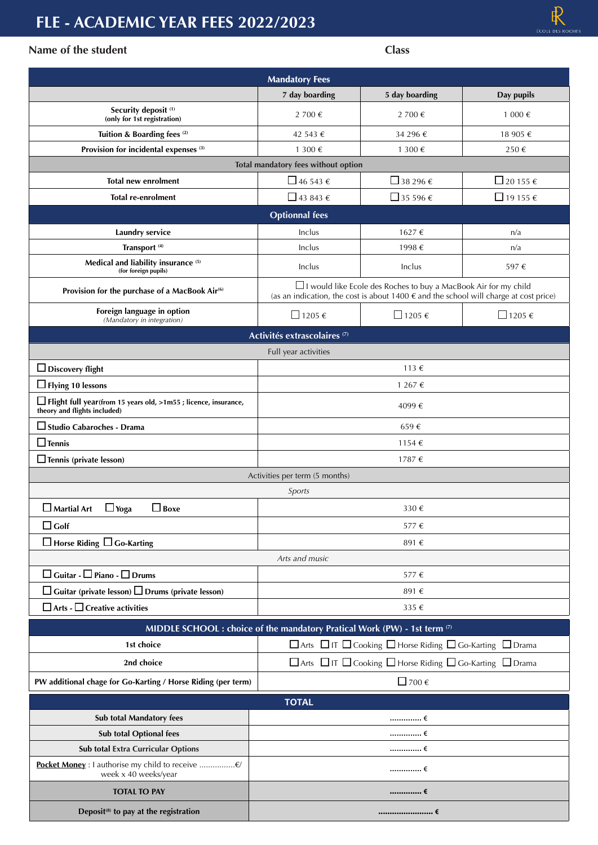# **FLE - ACADEMIC YEAR FEES 2022/2023**

### **Name of the student Class**

| <b>Mandatory Fees</b>                                                                             |                                                                                         |                                                                                                                                                                              |                          |  |  |
|---------------------------------------------------------------------------------------------------|-----------------------------------------------------------------------------------------|------------------------------------------------------------------------------------------------------------------------------------------------------------------------------|--------------------------|--|--|
|                                                                                                   | 7 day boarding                                                                          | 5 day boarding                                                                                                                                                               | Day pupils               |  |  |
| Security deposit <sup>(1)</sup><br>(only for 1st registration)                                    | 2 700 €                                                                                 | 2 700 €                                                                                                                                                                      | 1 000 €                  |  |  |
| Tuition & Boarding fees (2)                                                                       | 42 543 €                                                                                | 34 296 €                                                                                                                                                                     | 18 905 €                 |  |  |
| Provision for incidental expenses <sup>(3)</sup>                                                  | 1 300 €                                                                                 | 1 300 €                                                                                                                                                                      | 250€                     |  |  |
|                                                                                                   | Total mandatory fees without option                                                     |                                                                                                                                                                              |                          |  |  |
| <b>Total new enrolment</b>                                                                        | $\Box$ 46 543 $\epsilon$                                                                | □ 38 296 $\epsilon$                                                                                                                                                          | $\Box$ 20 155 $\epsilon$ |  |  |
| <b>Total re-enrolment</b>                                                                         | $\Box$ 43 843 €                                                                         | $\Box$ 35 596 $\epsilon$                                                                                                                                                     | $\Box$ 19 155 $\epsilon$ |  |  |
|                                                                                                   | <b>Optionnal</b> fees                                                                   |                                                                                                                                                                              |                          |  |  |
| <b>Laundry service</b>                                                                            | Inclus                                                                                  | 1627€                                                                                                                                                                        | n/a                      |  |  |
| Transport <sup>(4)</sup>                                                                          | Inclus                                                                                  | 1998€                                                                                                                                                                        | n/a                      |  |  |
| Medical and liability insurance (5)<br>(for foreign pupils)                                       | Inclus                                                                                  | Inclus                                                                                                                                                                       | 597€                     |  |  |
| Provision for the purchase of a MacBook Air <sup>(6)</sup>                                        |                                                                                         | $\Box$ I would like Ecole des Roches to buy a MacBook Air for my child<br>(as an indication, the cost is about $1400 \text{ } \in$ and the school will charge at cost price) |                          |  |  |
| Foreign language in option<br>(Mandatory in integration)                                          | $\Box$ 1205 €                                                                           | $□ 1205 \in$                                                                                                                                                                 | $\Box$ 1205 €            |  |  |
|                                                                                                   | Activités extrascolaires <sup>(7)</sup>                                                 |                                                                                                                                                                              |                          |  |  |
|                                                                                                   | Full year activities                                                                    |                                                                                                                                                                              |                          |  |  |
| $\Box$ Discovery flight                                                                           |                                                                                         | 113 $\epsilon$                                                                                                                                                               |                          |  |  |
| $\Box$ Flying 10 lessons                                                                          | 1 267 €                                                                                 |                                                                                                                                                                              |                          |  |  |
| □ Flight full year(from 15 years old, >1m55 ; licence, insurance,<br>theory and flights included) | 4099€                                                                                   |                                                                                                                                                                              |                          |  |  |
| $\square$ Studio Cabaroches - Drama                                                               | 659€                                                                                    |                                                                                                                                                                              |                          |  |  |
| $\Box$ Tennis                                                                                     |                                                                                         | 1154 €                                                                                                                                                                       |                          |  |  |
| $\Box$ Tennis (private lesson)                                                                    |                                                                                         | 1787€                                                                                                                                                                        |                          |  |  |
| Activities per term (5 months)                                                                    |                                                                                         |                                                                                                                                                                              |                          |  |  |
| Sports                                                                                            |                                                                                         |                                                                                                                                                                              |                          |  |  |
| $\Box$ Yoga<br>$\square$ Martial Art<br>$\Box$ Boxe                                               |                                                                                         | 330€                                                                                                                                                                         |                          |  |  |
| $\square$ Golf                                                                                    | 577€                                                                                    |                                                                                                                                                                              |                          |  |  |
| $\Box$ Horse Riding $\Box$ Go-Karting                                                             |                                                                                         | 891€                                                                                                                                                                         |                          |  |  |
|                                                                                                   | Arts and music                                                                          |                                                                                                                                                                              |                          |  |  |
| $\Box$ Guitar - $\Box$ Piano - $\Box$ Drums                                                       | 577€                                                                                    |                                                                                                                                                                              |                          |  |  |
| $\Box$ Guitar (private lesson) $\Box$ Drums (private lesson)                                      | 891€                                                                                    |                                                                                                                                                                              |                          |  |  |
| $\Box$ Arts - $\Box$ Creative activities                                                          | 335 €                                                                                   |                                                                                                                                                                              |                          |  |  |
| MIDDLE SCHOOL : choice of the mandatory Pratical Work (PW) - 1st term (7)                         |                                                                                         |                                                                                                                                                                              |                          |  |  |
| 1st choice                                                                                        |                                                                                         | $\Box$ Arts $\Box$ IT $\Box$ Cooking $\Box$ Horse Riding $\Box$ Go-Karting $\Box$ Drama                                                                                      |                          |  |  |
| 2nd choice                                                                                        | $\Box$ Arts $\Box$ IT $\Box$ Cooking $\Box$ Horse Riding $\Box$ Go-Karting $\Box$ Drama |                                                                                                                                                                              |                          |  |  |
| PW additional chage for Go-Karting / Horse Riding (per term)                                      | $2700 \in$                                                                              |                                                                                                                                                                              |                          |  |  |
| <b>TOTAL</b>                                                                                      |                                                                                         |                                                                                                                                                                              |                          |  |  |
| <b>Sub total Mandatory fees</b>                                                                   |                                                                                         |                                                                                                                                                                              |                          |  |  |
| Sub total Optional fees                                                                           |                                                                                         |                                                                                                                                                                              |                          |  |  |
| Sub total Extra Curricular Options                                                                |                                                                                         | …………… €                                                                                                                                                                      |                          |  |  |
| Pocket Money : I authorise my child to receive €/<br>week x 40 weeks/year                         | $\ldots$ $\epsilon$                                                                     |                                                                                                                                                                              |                          |  |  |
| <b>TOTAL TO PAY</b>                                                                               | €                                                                                       |                                                                                                                                                                              |                          |  |  |
| Deposit <sup>(8)</sup> to pay at the registration                                                 |                                                                                         | <b>t</b>                                                                                                                                                                     |                          |  |  |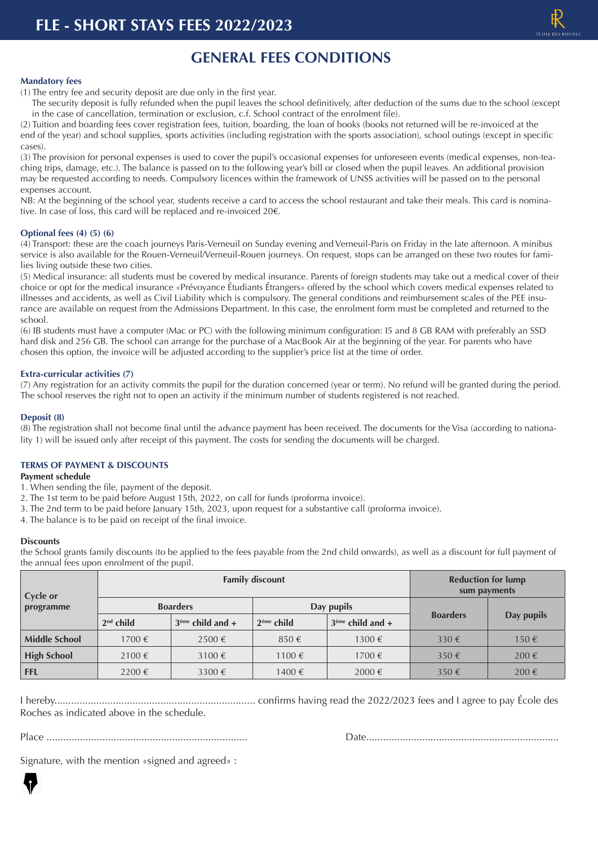## **GENERAL FEES CONDITIONS**

### **Mandatory fees**

- (1) The entry fee and security deposit are due only in the first year.
- The security deposit is fully refunded when the pupil leaves the school definitively, after deduction of the sums due to the school (except in the case of cancellation, termination or exclusion, c.f. School contract of the enrolment file).

(2) Tuition and boarding fees cover registration fees, tuition, boarding, the loan of books (books not returned will be re-invoiced at the end of the year) and school supplies, sports activities (including registration with the sports association), school outings (except in specific cases).

(3) The provision for personal expenses is used to cover the pupil's occasional expenses for unforeseen events (medical expenses, non-teaching trips, damage, etc.). The balance is passed on to the following year's bill or closed when the pupil leaves. An additional provision may be requested according to needs. Compulsory licences within the framework of UNSS activities will be passed on to the personal expenses account.

NB: At the beginning of the school year, students receive a card to access the school restaurant and take their meals. This card is nominative. In case of loss, this card will be replaced and re-invoiced 20€.

### **Optional fees (4) (5) (6)**

(4) Transport: these are the coach journeys Paris-Verneuil on Sunday evening and Verneuil-Paris on Friday in the late afternoon. A minibus service is also available for the Rouen-Verneuil/Verneuil-Rouen journeys. On request, stops can be arranged on these two routes for families living outside these two cities.

(5) Medical insurance: all students must be covered by medical insurance. Parents of foreign students may take out a medical cover of their choice or opt for the medical insurance «Prévoyance Étudiants Étrangers» offered by the school which covers medical expenses related to illnesses and accidents, as well as Civil Liability which is compulsory. The general conditions and reimbursement scales of the PEE insurance are available on request from the Admissions Department. In this case, the enrolment form must be completed and returned to the school.

(6) IB students must have a computer (Mac or PC) with the following minimum configuration: I5 and 8 GB RAM with preferably an SSD hard disk and 256 GB. The school can arrange for the purchase of a MacBook Air at the beginning of the year. For parents who have chosen this option, the invoice will be adjusted according to the supplier's price list at the time of order.

### **Extra-curricular activities (7)**

(7) Any registration for an activity commits the pupil for the duration concerned (year or term). No refund will be granted during the period. The school reserves the right not to open an activity if the minimum number of students registered is not reached.

### **Deposit (8)**

(8) The registration shall not become final until the advance payment has been received. The documents for the Visa (according to nationality 1) will be issued only after receipt of this payment. The costs for sending the documents will be charged.

#### **TERMS OF PAYMENT & DISCOUNTS**

### **Payment schedule**

- 1. When sending the file, payment of the deposit.
- 2. The 1st term to be paid before August 15th, 2022, on call for funds (proforma invoice).
- 3. The 2nd term to be paid before January 15th, 2023, upon request for a substantive call (proforma invoice).
- 4. The balance is to be paid on receipt of the final invoice.

#### **Discounts**

the School grants family discounts (to be applied to the fees payable from the 2nd child onwards), as well as a discount for full payment of the annual fees upon enrolment of the pupil.

| Cycle or             |             | <b>Family discount</b> | <b>Reduction for lump</b><br>sum payments |                    |                 |                    |
|----------------------|-------------|------------------------|-------------------------------------------|--------------------|-----------------|--------------------|
| programme            |             | <b>Boarders</b>        | Day pupils                                |                    |                 |                    |
|                      | $2nd$ child | $3eme$ child and +     | $2eme$ child                              | $3ème$ child and + | <b>Boarders</b> | Day pupils         |
| <b>Middle School</b> | 1700 €      | $2500 \in$             | $850 \in$                                 | 1300 €             | $330 \in$       | $150 \in$          |
| <b>High School</b>   | $2100 \in$  | 3100 $\xi$             | $1100 \in$                                | 1700 €             | $350 \in$       | $200 \text{ } \in$ |
| <b>FFL</b>           | $2200 \in$  | $3300 \in$             | 1400€                                     | $2000 \in$         | $350 \in$       | 200€               |

I hereby........................................................................ confirms having read the 2022/2023 fees and I agree to pay École des Roches as indicated above in the schedule.

Place ........................................................................ Date.....................................................................

Signature, with the mention «signed and agreed» :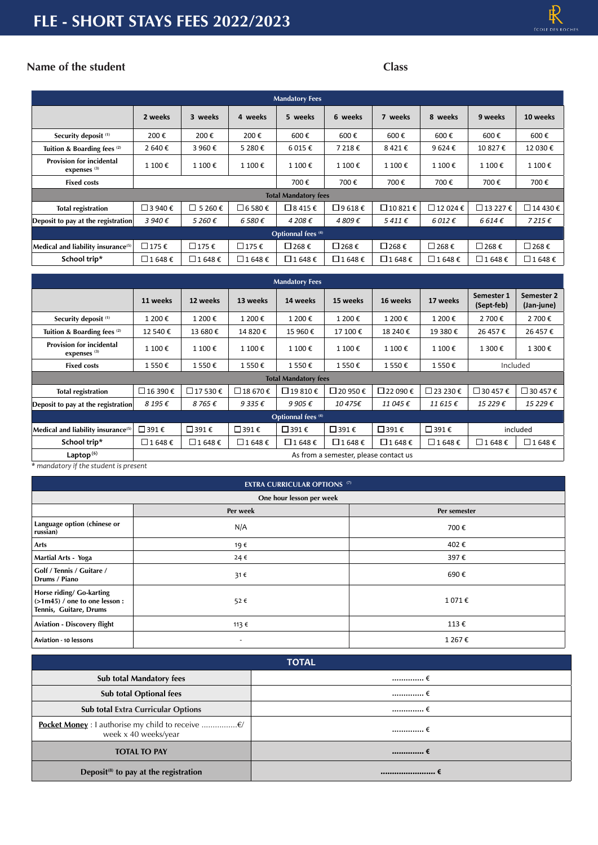# **FLE - SHORT STAYS FEES 2022/2023**

# $\pmb{\mathbb{R}}$

### **Name of the student Class**

| <b>Mandatory Fees</b>                                      |                |                |                 |                |                |                 |                          |                        |                 |
|------------------------------------------------------------|----------------|----------------|-----------------|----------------|----------------|-----------------|--------------------------|------------------------|-----------------|
|                                                            | 2 weeks        | 3 weeks        | 4 weeks         | 5 weeks        | 6 weeks        | 7 weeks         | 8 weeks                  | 9 weeks                | 10 weeks        |
| Security deposit <sup>(1)</sup>                            | 200€           | 200€           | 200€            | 600€           | 600€           | 600€            | 600€                     | 600€                   | 600€            |
| Tuition & Boarding fees <sup>(2)</sup>                     | 2640€          | 3 960€         | 5 280€          | 6 015€         | 7 218€         | 8421€           | 9624€                    | 10 827€                | 12 030€         |
| <b>Provision for incidental</b><br>expenses <sup>(3)</sup> | 1 100€         | 1 100€         | 1 100€          | 1 100€         | 1 100€         | 1 100 €         | 1 100€                   | 1 100 €                | 1 100€          |
| <b>Fixed costs</b>                                         |                |                |                 | 700€           | 700€           | 700€            | 700€                     | 700€                   | 700€            |
| <b>Total Mandatory fees</b>                                |                |                |                 |                |                |                 |                          |                        |                 |
| <b>Total registration</b>                                  | $\Box$ 3 940 € | $\Box$ 5 260 € | $\Box$ 6 580 €  | $\Box$ 8 415 € | $\Box$ 9 618 € | $\Box$ 10 821 € | $\Box$ 12 024 $\epsilon$ | $□$ 13 227 €           | $\Box$ 14 430 € |
| Deposit to pay at the registration                         | 3940€          | 5 260€         | 6580€           | 4 208€         | 4809€          | $5411 \epsilon$ | $6012 \epsilon$          | 6614E                  | 7215€           |
| Optionnal fees <sup>(4)</sup>                              |                |                |                 |                |                |                 |                          |                        |                 |
| Medical and liability insurance <sup>(5)</sup>             | □175€          | □175€          | $\square$ 175 € | $□$ 268 €      | $\Box$ 268 €   | $\Box$ 268 €    | $\Box$ 268 €             | $\Box$ 268 €           | □ 268 €         |
| School trip*                                               | $\Box$ 1 648 € | $\Box$ 1 648 € | $\Box$ 1 648 €  | $\Box$ 1 648 € | $\Box$ 1 648 € | $\Box$ 1 648 €  | $\Box$ 1 648 €           | $\Box$ 1648 $\epsilon$ | $\Box$ 1 648 €  |

| <b>Mandatory Fees</b>                                      |                                       |                 |                   |                         |                       |                   |                         |                          |                          |
|------------------------------------------------------------|---------------------------------------|-----------------|-------------------|-------------------------|-----------------------|-------------------|-------------------------|--------------------------|--------------------------|
|                                                            | 11 weeks                              | 12 weeks        | 13 weeks          | 14 weeks                | 15 weeks              | 16 weeks          | 17 weeks                | Semester 1<br>(Sept-feb) | Semester 2<br>(Jan-june) |
| Security deposit <sup>(1)</sup>                            | 1 200€                                | 1 200€          | 1 200€            | 1 200€                  | 1 200€                | 1 200€            | 1 200€                  | 2 700 €                  | 2 700€                   |
| Tuition & Boarding fees <sup>(2)</sup>                     | 12 540€                               | 13 680€         | 14 820€           | 15 960€                 | 17 100€               | 18 240 €          | 19 380€                 | 26 457 €                 | 26 457€                  |
| <b>Provision for incidental</b><br>expenses <sup>(3)</sup> | 1 100€                                | 1 100€          | 1 100€            | 1 100€                  | 1 100€                | 1 100€            | 1 100€                  | 1 300€                   | 1 300€                   |
| <b>Fixed costs</b>                                         | 1550€                                 | 1 550€          | 1 550€            | 1550€                   | 1550€                 | 1550€             | 1 550€                  |                          | Included                 |
| <b>Total Mandatory fees</b>                                |                                       |                 |                   |                         |                       |                   |                         |                          |                          |
| <b>Total registration</b>                                  | $\Box$ 16 390 €                       | $\Box$ 17 530 € | □ 18 670 €        | $\Box$ 19810 $\epsilon$ | $\Box$ 20 950 €       | $\Box$ 22 090 €   | $\Box$ 23 230 €         | $\Box$ 30 457 €          | $\Box$ 30 457 €          |
| Deposit to pay at the registration                         | 8 195€                                | 8765€           | $9335 \in$        | 9905€                   | 10475€                | 11 045€           | 11615€                  | 15 229€                  | 15 229€                  |
| Optionnal fees <sup>(4)</sup>                              |                                       |                 |                   |                         |                       |                   |                         |                          |                          |
| Medical and liability insurance <sup>(5)</sup>             | $□$ 391 €                             | $\Box$ 391 €    | □ 391 €           | $\Box$ 391 €            | $\Box$ 391 $\epsilon$ | $□$ 391 €         | $□$ 391 €               |                          | included                 |
| School trip*                                               | □1648€                                | □1648€          | $□ 1648 \epsilon$ | □1648€                  | □1648€                | $□ 1648 \epsilon$ | $\Box$ 1 648 $\epsilon$ | □ 1648€                  | □ 1648€                  |
| Laptop $(6)$                                               | As from a semester, please contact us |                 |                   |                         |                       |                   |                         |                          |                          |

*\* mandatory if the student is present*

| <b>EXTRA CURRICULAR OPTIONS (7)</b>                                                  |                          |        |  |  |
|--------------------------------------------------------------------------------------|--------------------------|--------|--|--|
|                                                                                      | One hour lesson per week |        |  |  |
|                                                                                      | Per week<br>Per semester |        |  |  |
| Language option (chinese or<br>russian)                                              | N/A                      | 700€   |  |  |
| Arts                                                                                 | 19 €                     | 402€   |  |  |
| Martial Arts - Yoga                                                                  | 24€                      | 397€   |  |  |
| Golf / Tennis / Guitare /<br>Drums / Piano                                           | 31€                      | 690€   |  |  |
| Horse riding/ Go-karting<br>$(>1m45)$ / one to one lesson:<br>Tennis, Guitare, Drums | 52€                      | 1071€  |  |  |
| <b>Aviation - Discovery flight</b>                                                   | 113 €                    | 113€   |  |  |
| Aviation - 10 lessons                                                                | $\overline{\phantom{a}}$ | 1 267€ |  |  |

| <b>TOTAL</b>                                      |         |  |  |  |
|---------------------------------------------------|---------|--|--|--|
| <b>Sub total Mandatory fees</b>                   | …………… € |  |  |  |
| <b>Sub total Optional fees</b>                    | …………… ∈ |  |  |  |
| Sub total Extra Curricular Options                | …………… € |  |  |  |
| week x 40 weeks/year                              | € …………… |  |  |  |
| <b>TOTAL TO PAY</b>                               | 1       |  |  |  |
| Deposit <sup>(8)</sup> to pay at the registration |         |  |  |  |